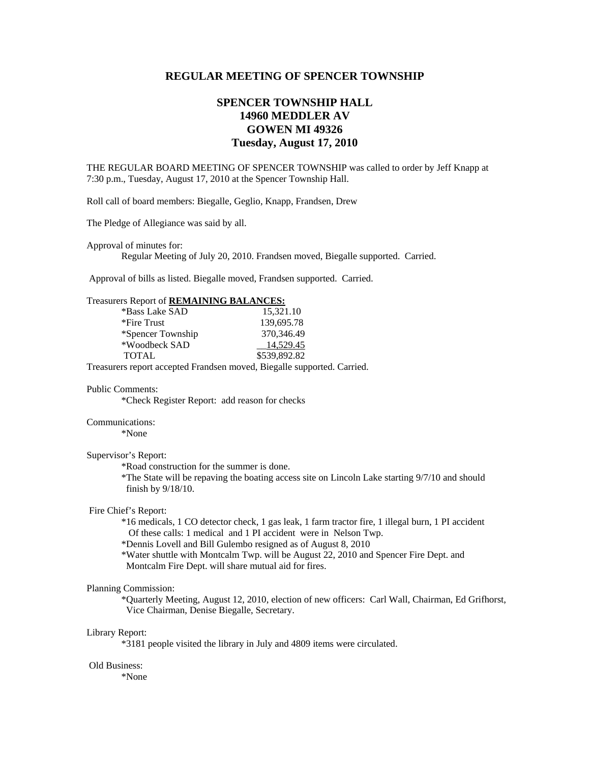# **REGULAR MEETING OF SPENCER TOWNSHIP**

# **SPENCER TOWNSHIP HALL 14960 MEDDLER AV GOWEN MI 49326 Tuesday, August 17, 2010**

THE REGULAR BOARD MEETING OF SPENCER TOWNSHIP was called to order by Jeff Knapp at 7:30 p.m., Tuesday, August 17, 2010 at the Spencer Township Hall.

Roll call of board members: Biegalle, Geglio, Knapp, Frandsen, Drew

The Pledge of Allegiance was said by all.

Approval of minutes for:

Regular Meeting of July 20, 2010. Frandsen moved, Biegalle supported. Carried.

Approval of bills as listed. Biegalle moved, Frandsen supported. Carried.

### Treasurers Report of **REMAINING BALANCES:**

| *Bass Lake SAD    | 15.321.10    |
|-------------------|--------------|
| *Fire Trust       | 139,695.78   |
| *Spencer Township | 370.346.49   |
| *Woodbeck SAD     | 14.529.45    |
| <b>TOTAL</b>      | \$539,892.82 |
|                   |              |

Treasurers report accepted Frandsen moved, Biegalle supported. Carried.

#### Public Comments:

\*Check Register Report: add reason for checks

### Communications:

\*None

### Supervisor's Report:

\*Road construction for the summer is done.

 \*The State will be repaving the boating access site on Lincoln Lake starting 9/7/10 and should finish by 9/18/10.

### Fire Chief's Report:

 \*16 medicals, 1 CO detector check, 1 gas leak, 1 farm tractor fire, 1 illegal burn, 1 PI accident Of these calls: 1 medical and 1 PI accident were in Nelson Twp.

\*Dennis Lovell and Bill Gulembo resigned as of August 8, 2010

 \*Water shuttle with Montcalm Twp. will be August 22, 2010 and Spencer Fire Dept. and Montcalm Fire Dept. will share mutual aid for fires.

#### Planning Commission:

\*Quarterly Meeting, August 12, 2010, election of new officers: Carl Wall, Chairman, Ed Grifhorst, Vice Chairman, Denise Biegalle, Secretary.

#### Library Report:

\*3181 people visited the library in July and 4809 items were circulated.

# Old Business:

\*None